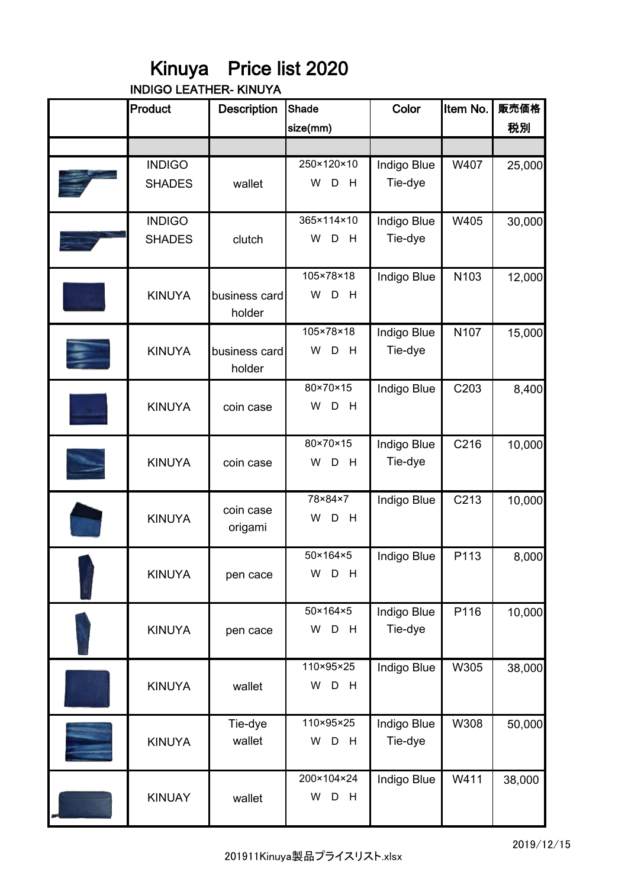## Kinuya Price list 2020

INDIGO LEATHER- KINUYA

| Product                        | <b>Description</b>      | Shade                     | Color                  | Item No. | 販売価格   |
|--------------------------------|-------------------------|---------------------------|------------------------|----------|--------|
|                                |                         | size(mm)                  |                        |          | 税別     |
|                                |                         |                           |                        |          |        |
| <b>INDIGO</b><br><b>SHADES</b> | wallet                  | 250×120×10<br>W<br>D<br>H | Indigo Blue<br>Tie-dye | W407     | 25,000 |
| <b>INDIGO</b><br><b>SHADES</b> | clutch                  | 365×114×10<br>W<br>D<br>H | Indigo Blue<br>Tie-dye | W405     | 30,000 |
| <b>KINUYA</b>                  | business card<br>holder | 105×78×18<br>W<br>D<br>H  | Indigo Blue            | N103     | 12,000 |
| <b>KINUYA</b>                  | business card<br>holder | 105×78×18<br>W D<br>H     | Indigo Blue<br>Tie-dye | N107     | 15,000 |
| <b>KINUYA</b>                  | coin case               | 80×70×15<br>W<br>D<br>H   | Indigo Blue            | C203     | 8,400  |
| <b>KINUYA</b>                  | coin case               | 80×70×15<br>W D<br>H      | Indigo Blue<br>Tie-dye | C216     | 10,000 |
| <b>KINUYA</b>                  | coin case<br>origami    | 78×84×7<br>W<br>D<br>H    | Indigo Blue            | C213     | 10,000 |
| <b>KINUYA</b>                  | pen cace                | 50×164×5<br>W D H         | Indigo Blue            | P113     | 8,000  |
| <b>KINUYA</b>                  | pen cace                | 50×164×5<br>W<br>D<br>H   | Indigo Blue<br>Tie-dye | P116     | 10,000 |
| <b>KINUYA</b>                  | wallet                  | 110×95×25<br>W D H        | Indigo Blue            | W305     | 38,000 |
| <b>KINUYA</b>                  | Tie-dye<br>wallet       | 110×95×25<br>W<br>D<br>H  | Indigo Blue<br>Tie-dye | W308     | 50,000 |
| <b>KINUAY</b>                  | wallet                  | 200×104×24<br>W D<br>H    | Indigo Blue            | W411     | 38,000 |